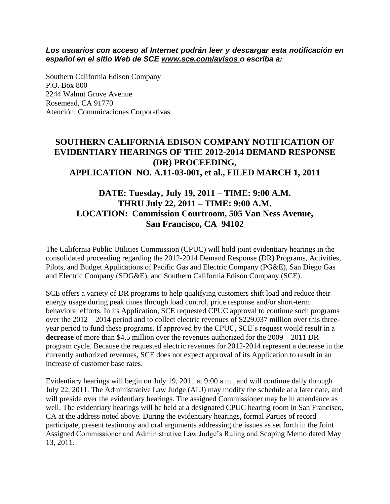*Los usuarios con acceso al Internet podrán leer y descargar esta notificación en español en el sitio Web de SCE www.sce.com/avisos o escriba a:* 

Southern California Edison Company P.O. Box 800 2244 Walnut Grove Avenue Rosemead, CA 91770 Atención: Comunicaciones Corporativas

#### **SOUTHERN CALIFORNIA EDISON COMPANY NOTIFICATION OF EVIDENTIARY HEARINGS OF THE 2012-2014 DEMAND RESPONSE (DR) PROCEEDING, APPLICATION NO. A.11-03-001, et al., FILED MARCH 1, 2011**

## **DATE: Tuesday, July 19, 2011 – TIME: 9:00 A.M. THRU July 22, 2011 – TIME: 9:00 A.M. LOCATION: Commission Courtroom, 505 Van Ness Avenue, San Francisco, CA 94102**

The California Public Utilities Commission (CPUC) will hold joint evidentiary hearings in the consolidated proceeding regarding the 2012-2014 Demand Response (DR) Programs, Activities, Pilots, and Budget Applications of Pacific Gas and Electric Company (PG&E), San Diego Gas and Electric Company (SDG&E), and Southern California Edison Company (SCE).

SCE offers a variety of DR programs to help qualifying customers shift load and reduce their energy usage during peak times through load control, price response and/or short-term behavioral efforts. In its Application, SCE requested CPUC approval to continue such programs over the 2012 – 2014 period and to collect electric revenues of \$229.037 million over this threeyear period to fund these programs. If approved by the CPUC, SCE's request would result in a **decrease** of more than \$4.5 million over the revenues authorized for the 2009 – 2011 DR program cycle. Because the requested electric revenues for 2012-2014 represent a decrease in the currently authorized revenues, SCE does not expect approval of its Application to result in an increase of customer base rates.

Evidentiary hearings will begin on July 19, 2011 at 9:00 a.m., and will continue daily through July 22, 2011. The Administrative Law Judge (ALJ) may modify the schedule at a later date, and will preside over the evidentiary hearings. The assigned Commissioner may be in attendance as well. The evidentiary hearings will be held at a designated CPUC hearing room in San Francisco, CA at the address noted above. During the evidentiary hearings, formal Parties of record participate, present testimony and oral arguments addressing the issues as set forth in the Joint Assigned Commissioner and Administrative Law Judge's Ruling and Scoping Memo dated May 13, 2011.